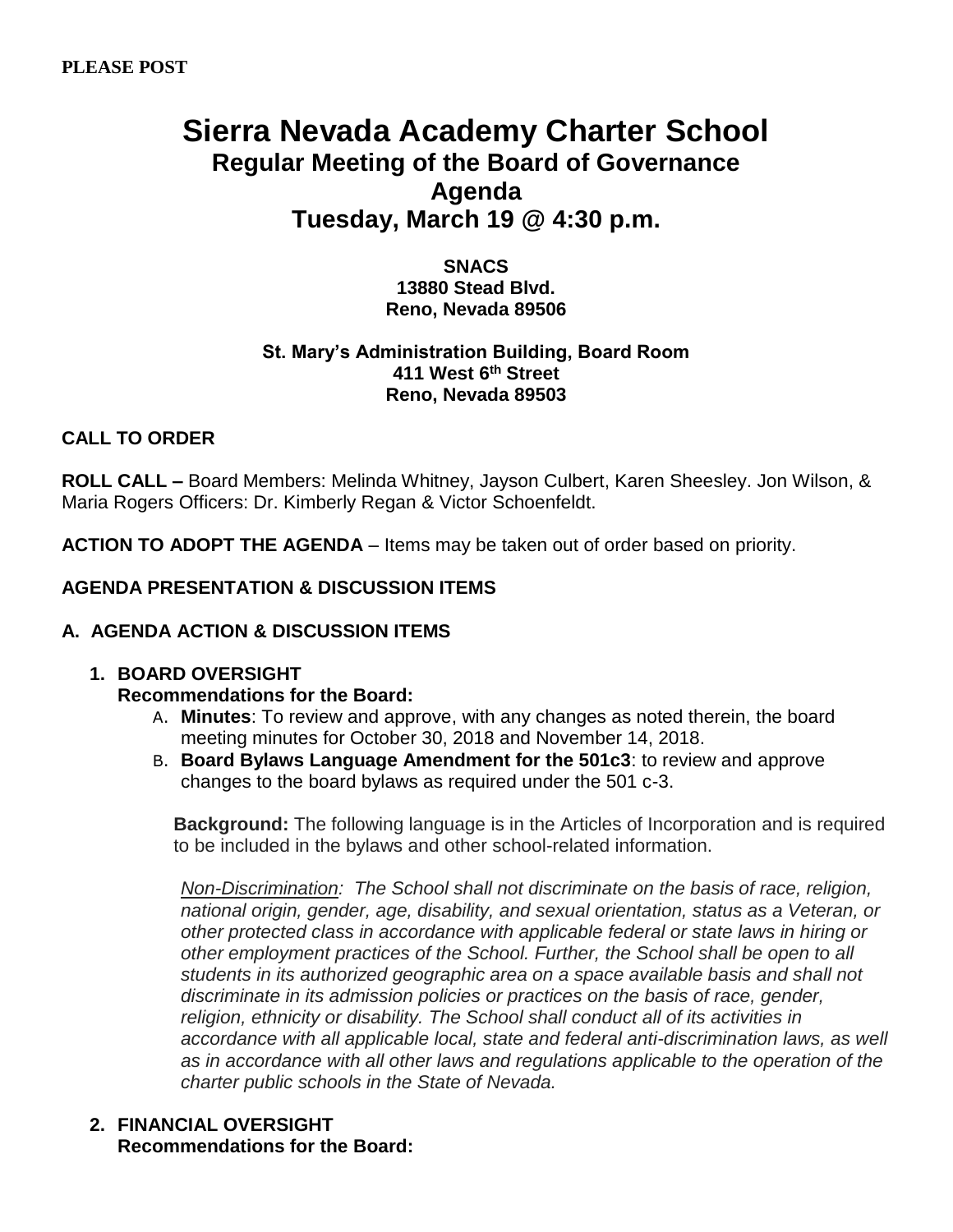# **Sierra Nevada Academy Charter School Regular Meeting of the Board of Governance Agenda Tuesday, March 19 @ 4:30 p.m.**

**SNACS 13880 Stead Blvd. Reno, Nevada 89506**

#### **St. Mary's Administration Building, Board Room 411 West 6 th Street Reno, Nevada 89503**

## **CALL TO ORDER**

**ROLL CALL –** Board Members: Melinda Whitney, Jayson Culbert, Karen Sheesley. Jon Wilson, & Maria Rogers Officers: Dr. Kimberly Regan & Victor Schoenfeldt.

**ACTION TO ADOPT THE AGENDA** – Items may be taken out of order based on priority.

## **AGENDA PRESENTATION & DISCUSSION ITEMS**

### **A. AGENDA ACTION & DISCUSSION ITEMS**

### **1. BOARD OVERSIGHT**

### **Recommendations for the Board:**

- A. **Minutes**: To review and approve, with any changes as noted therein, the board meeting minutes for October 30, 2018 and November 14, 2018.
- B. **Board Bylaws Language Amendment for the 501c3**: to review and approve changes to the board bylaws as required under the 501 c-3.

**Background:** The following language is in the Articles of Incorporation and is required to be included in the bylaws and other school-related information.

*Non-Discrimination: The School shall not discriminate on the basis of race, religion, national origin, gender, age, disability, and sexual orientation, status as a Veteran, or other protected class in accordance with applicable federal or state laws in hiring or other employment practices of the School. Further, the School shall be open to all students in its authorized geographic area on a space available basis and shall not discriminate in its admission policies or practices on the basis of race, gender, religion, ethnicity or disability. The School shall conduct all of its activities in accordance with all applicable local, state and federal anti-discrimination laws, as well as in accordance with all other laws and regulations applicable to the operation of the charter public schools in the State of Nevada.*

### **2. FINANCIAL OVERSIGHT Recommendations for the Board:**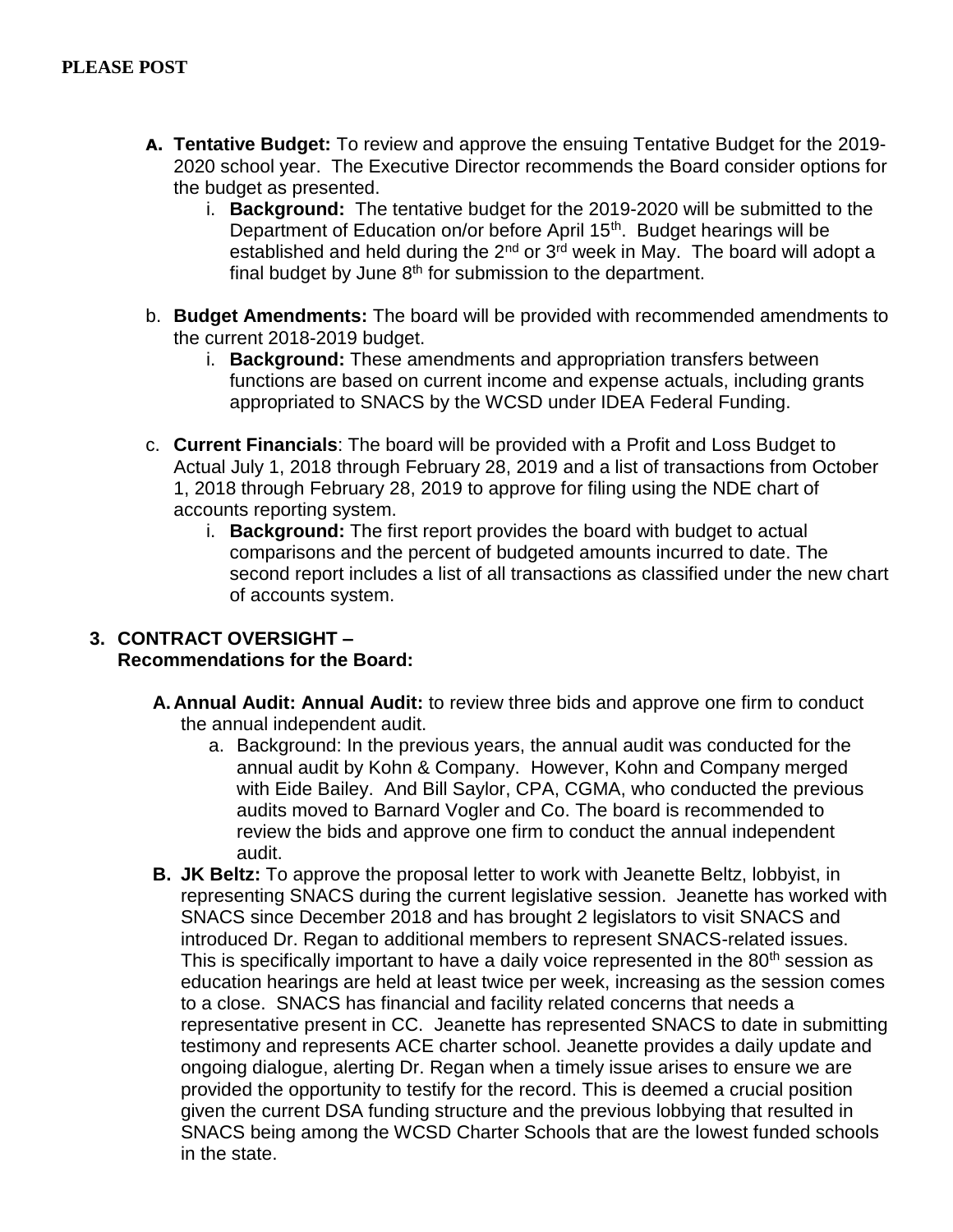- **A. Tentative Budget:** To review and approve the ensuing Tentative Budget for the 2019- 2020 school year. The Executive Director recommends the Board consider options for the budget as presented.
	- i. **Background:** The tentative budget for the 2019-2020 will be submitted to the Department of Education on/or before April 15th. Budget hearings will be established and held during the  $2<sup>nd</sup>$  or  $3<sup>rd</sup>$  week in May. The board will adopt a final budget by June  $8<sup>th</sup>$  for submission to the department.
- b. **Budget Amendments:** The board will be provided with recommended amendments to the current 2018-2019 budget.
	- i. **Background:** These amendments and appropriation transfers between functions are based on current income and expense actuals, including grants appropriated to SNACS by the WCSD under IDEA Federal Funding.
- c. **Current Financials**: The board will be provided with a Profit and Loss Budget to Actual July 1, 2018 through February 28, 2019 and a list of transactions from October 1, 2018 through February 28, 2019 to approve for filing using the NDE chart of accounts reporting system.
	- i. **Background:** The first report provides the board with budget to actual comparisons and the percent of budgeted amounts incurred to date. The second report includes a list of all transactions as classified under the new chart of accounts system.

## **3. CONTRACT OVERSIGHT – Recommendations for the Board:**

- **A.Annual Audit: Annual Audit:** to review three bids and approve one firm to conduct the annual independent audit.
	- a. Background: In the previous years, the annual audit was conducted for the annual audit by Kohn & Company. However, Kohn and Company merged with Eide Bailey. And Bill Saylor, CPA, CGMA, who conducted the previous audits moved to Barnard Vogler and Co. The board is recommended to review the bids and approve one firm to conduct the annual independent audit.
- **B. JK Beltz:** To approve the proposal letter to work with Jeanette Beltz, lobbyist, in representing SNACS during the current legislative session. Jeanette has worked with SNACS since December 2018 and has brought 2 legislators to visit SNACS and introduced Dr. Regan to additional members to represent SNACS-related issues. This is specifically important to have a daily voice represented in the 80<sup>th</sup> session as education hearings are held at least twice per week, increasing as the session comes to a close. SNACS has financial and facility related concerns that needs a representative present in CC. Jeanette has represented SNACS to date in submitting testimony and represents ACE charter school. Jeanette provides a daily update and ongoing dialogue, alerting Dr. Regan when a timely issue arises to ensure we are provided the opportunity to testify for the record. This is deemed a crucial position given the current DSA funding structure and the previous lobbying that resulted in SNACS being among the WCSD Charter Schools that are the lowest funded schools in the state.